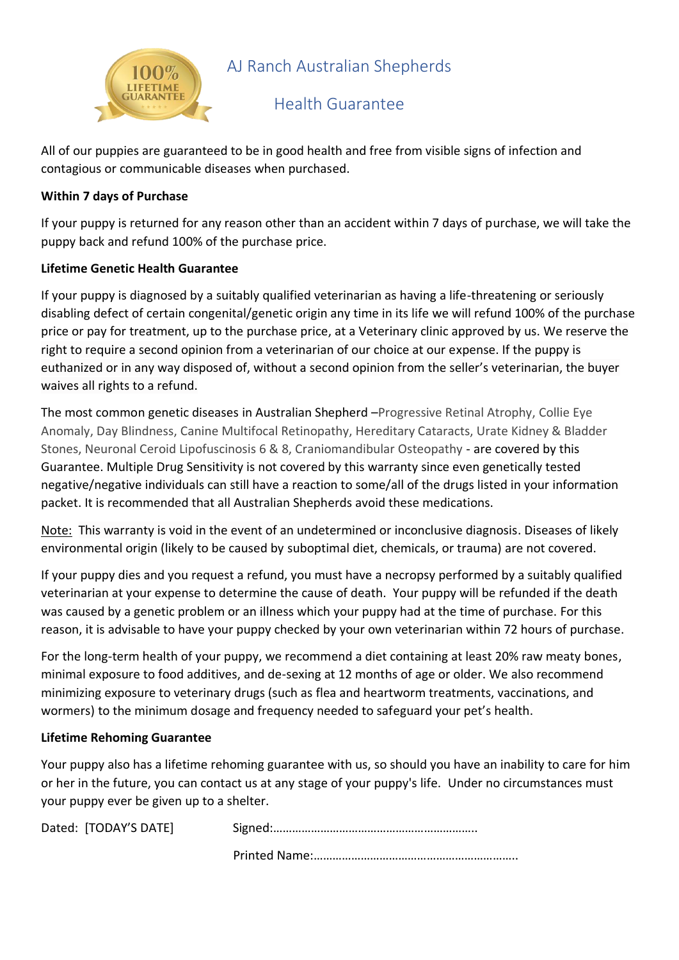

## AJ Ranch Australian Shepherds

### Health Guarantee

All of our puppies are guaranteed to be in good health and free from visible signs of infection and contagious or communicable diseases when purchased.

#### **Within 7 days of Purchase**

If your puppy is returned for any reason other than an accident within 7 days of purchase, we will take the puppy back and refund 100% of the purchase price.

### **Lifetime Genetic Health Guarantee**

If your puppy is diagnosed by a suitably qualified veterinarian as having a life-threatening or seriously disabling defect of certain congenital/genetic origin any time in its life we will refund 100% of the purchase price or pay for treatment, up to the purchase price, at a Veterinary clinic approved by us. We reserve the right to require a second opinion from a veterinarian of our choice at our expense. If the puppy is euthanized or in any way disposed of, without a second opinion from the seller's veterinarian, the buyer waives all rights to a refund.

The most common genetic diseases in Australian Shepherd –Progressive Retinal Atrophy, Collie Eye Anomaly, Day Blindness, Canine Multifocal Retinopathy, Hereditary Cataracts, Urate Kidney & Bladder Stones, Neuronal Ceroid Lipofuscinosis 6 & 8, Craniomandibular Osteopathy - are covered by this Guarantee. Multiple Drug Sensitivity is not covered by this warranty since even genetically tested negative/negative individuals can still have a reaction to some/all of the drugs listed in your information packet. It is recommended that all Australian Shepherds avoid these medications.

Note: This warranty is void in the event of an undetermined or inconclusive diagnosis. Diseases of likely environmental origin (likely to be caused by suboptimal diet, chemicals, or trauma) are not covered.

If your puppy dies and you request a refund, you must have a necropsy performed by a suitably qualified veterinarian at your expense to determine the cause of death. Your puppy will be refunded if the death was caused by a genetic problem or an illness which your puppy had at the time of purchase. For this reason, it is advisable to have your puppy checked by your own veterinarian within 72 hours of purchase.

For the long-term health of your puppy, we recommend a diet containing at least 20% raw meaty bones, minimal exposure to food additives, and de-sexing at 12 months of age or older. We also recommend minimizing exposure to veterinary drugs (such as flea and heartworm treatments, vaccinations, and wormers) to the minimum dosage and frequency needed to safeguard your pet's health.

#### **Lifetime Rehoming Guarantee**

Your puppy also has a lifetime rehoming guarantee with us, so should you have an inability to care for him or her in the future, you can contact us at any stage of your puppy's life. Under no circumstances must your puppy ever be given up to a shelter.

| Dated: [TODAY'S DATE] |  |
|-----------------------|--|
|                       |  |